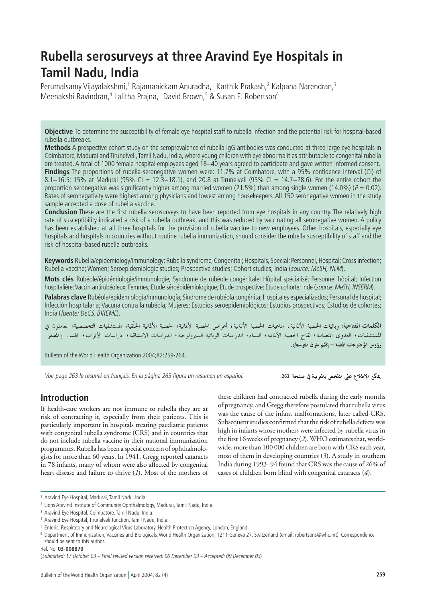# **Rubella serosurveys at three Aravind Eye Hospitals in Tamil Nadu, India**

Perumalsamy Vijayalakshmi,<sup>1</sup> Rajamanickam Anuradha,<sup>1</sup> Karthik Prakash,<sup>2</sup> Kalpana Narendran,<sup>3</sup> Meenakshi Ravindran,<sup>4</sup> Lalitha Prajna,<sup>1</sup> David Brown,<sup>5</sup> & Susan E. Robertson<sup>6</sup>

**Objective** To determine the susceptibility of female eye hospital staff to rubella infection and the potential risk for hospital-based rubella outbreaks.

**Methods** A prospective cohort study on the seroprevalence of rubella IgG antibodies was conducted at three large eye hospitals in Coimbatore, Madurai and Tirunelveli, Tamil Nadu, India, where young children with eye abnormalities attributable to congenital rubella are treated. A total of 1000 female hospital employees aged 18−40 years agreed to participate and gave written informed consent. **Findings** The proportions of rubella-seronegative women were: 11.7% at Coimbatore, with a 95% confidence interval (CI) of 8.1−16.5; 15% at Madurai (95% CI = 12.3−18.1), and 20.8 at Tirunelveli (95% CI = 14.7−28.6). For the entire cohort the proportion seronegative was significantly higher among married women (21.5%) than among single women (14.0%) ( $P = 0.02$ ). Rates of seronegativity were highest among physicians and lowest among housekeepers. All 150 seronegative women in the study sample accepted a dose of rubella vaccine.

**Conclusion** These are the first rubella serosurveys to have been reported from eye hospitals in any country. The relatively high rate of susceptibility indicated a risk of a rubella outbreak, and this was reduced by vaccinating all seronegative women. A policy has been established at all three hospitals for the provision of rubella vaccine to new employees. Other hospitals, especially eye hospitals and hospitals in countries without routine rubella immunization, should consider the rubella susceptibility of staff and the risk of hospital-based rubella outbreaks.

**Keywords** Rubella/epidemiology/immunology; Rubella syndrome, Congenital; Hospitals, Special; Personnel, Hospital; Cross infection; Rubella vaccine; Women; Seroepidemiologic studies; Prospective studies; Cohort studies; India (source: MeSH, NLM).

**Mots clés** Rubéole/épidémiologie/immunologie; Syndrome de rubéole congénitale; Hòpital spécialisé; Personnel hôpital; Infection hospitalière; Vaccin antirubéoleux; Femmes; Etude séroépidémiologique; Etude prospective; Etude cohorte; Inde (source: MeSH, INSERM).

**Palabras clave** Rubéola/epidemiología/inmunología; Síndrome de rubéola congénita; Hospitales especializados; Personal de hospital; Infección hospitalaria; Vacuna contra la rubéola; Mujeres; Estudios seroepidemiológicos; Estudios prospectivos; Estudios de cohortes; India (fuente: DeCS, BIREME).

**الكلمات المفتاحية**: وبائيات الحصبة الألمانية ، مناعيات الحصبة الألمانية؛ الخلفية؛ الحصبة الألمانية الجلْقية؛ المستشفيات التخصصية؛ العاملون في المستشفيات؛ العدوى المتصالبة؛ لقاح الحصبة الألمانية؛ النساء؛ الدراسات الوبائية السيرولوجية؛ الدراسات الاستباقية؛ دراسات الأتراب؛ الهند. ‹‹للصدر: رؤوس الموضوعات الطبية – إقليم شرق المتوسط).

Bulletin of the World Health Organization 2004;82:259-264.

Voir page 263 le résumé en français. En la página 263 figura un resumen en español.

يمكن الاطلاع على الملخص بالعربية في صفحة 263.

# **Introduction**

If health-care workers are not immune to rubella they are at risk of contracting it, especially from their patients. This is particularly important in hospitals treating paediatric patients with congenital rubella syndrome (CRS) and in countries that do not include rubella vaccine in their national immunization programmes. Rubella has been a special concern of ophthalmologists for more than 60 years. In 1941, Gregg reported cataracts in 78 infants, many of whom were also affected by congenital heart disease and failure to thrive (*1*). Most of the mothers of

these children had contracted rubella during the early months of pregnancy, and Gregg therefore postulated that rubella virus was the cause of the infant malformations, later called CRS. Subsequent studies confirmed that the risk of rubella defects was high in infants whose mothers were infected by rubella virus in the first 16 weeks of pregnancy (*2*). WHO estimates that, worldwide, more than 100 000 children are born with CRS each year, most of them in developing countries (*3*). A study in southern India during 1993−94 found that CRS was the cause of 26% of cases of children born blind with congenital cataracts (*4*).

Ref. No. **03-008870**

<sup>1</sup> Aravind Eye Hospital, Madurai, Tamil Nadu, India.

<sup>2</sup> Lions Aravind Institute of Community Ophthalmology, Madurai, Tamil Nadu, India.

<sup>&</sup>lt;sup>3</sup> Aravind Eye Hospital, Coimbatore, Tamil Nadu, India.

<sup>4</sup> Aravind Eye Hospital, Tirunelveli Junction, Tamil Nadu, India.

<sup>5</sup> Enteric, Respiratory and Neurological Virus Laboratory, Health Protection Agency, London, England.

<sup>6</sup> Department of Immunization, Vaccines and Biologicals, World Health Organization, 1211 Geneva 27, Switzerland (email: robertsons@who.int). Correspondence should be sent to this author.

<sup>(</sup>Submitted: 17 October 03 – Final revised version received: 06 December 03 – Accepted: 09 December 03)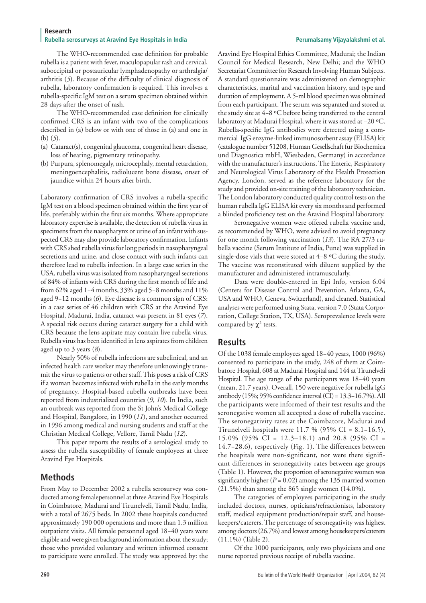#### **Research** Rubella serosurveys at Aravind Eye Hospitals in India **Perumalsamy Vigayalakshmi et al. Perumalsamy Vijayalakshmi et al.**

The WHO-recommended case definition for probable rubella is a patient with fever, maculopapular rash and cervical, suboccipital or postauricular lymphadenopathy or arthralgia/ arthritis (*5*). Because of the difficulty of clinical diagnosis of rubella, laboratory confirmation is required. This involves a rubella-specific IgM test on a serum specimen obtained within 28 days after the onset of rash.

The WHO-recommended case definition for clinically confirmed CRS is an infant with two of the complications described in (a) below or with one of those in (a) and one in (b) (*5*).

- (a) Cataract(s), congenital glaucoma, congenital heart disease, loss of hearing, pigmentary retinopathy.
- (b) Purpura, splenomegaly, microcephaly, mental retardation, meningoencephalitis, radiolucent bone disease, onset of jaundice within 24 hours after birth.

Laboratory confirmation of CRS involves a rubella-specific IgM test on a blood specimen obtained within the first year of life, preferably within the first six months. Where appropriate laboratory expertise is available, the detection of rubella virus in specimens from the nasopharynx or urine of an infant with suspected CRS may also provide laboratory confirmation. Infants with CRS shed rubella virus for long periods in nasopharyngeal secretions and urine, and close contact with such infants can therefore lead to rubella infection. In a large case series in the USA, rubella virus was isolated from nasopharyngeal secretions of 84% of infants with CRS during the first month of life and from 62% aged 1−4 months, 33% aged 5−8 months and 11% aged 9−12 months (*6*). Eye disease is a common sign of CRS: in a case series of 46 children with CRS at the Aravind Eye Hospital, Madurai, India, cataract was present in 81 eyes (*7*). A special risk occurs during cataract surgery for a child with CRS because the lens aspirate may contain live rubella virus. Rubella virus has been identified in lens aspirates from children aged up to 3 years (*8*).

Nearly 50% of rubella infections are subclinical, and an infected health care worker may therefore unknowingly transmit the virus to patients or other staff. This poses a risk of CRS if a woman becomes infected with rubella in the early months of pregnancy. Hospital-based rubella outbreaks have been reported from industrialized countries (*9*, *10*). In India, such an outbreak was reported from the St John's Medical College and Hospital, Bangalore, in 1990 (*11*), and another occurred in 1996 among medical and nursing students and staff at the Christian Medical College, Vellore, Tamil Nadu (*12*).

This paper reports the results of a serological study to assess the rubella susceptibility of female employees at three Aravind Eye Hospitals.

# **Methods**

From May to December 2002 a rubella serosurvey was conducted among femalepersonnel at three Aravind Eye Hospitals in Coimbatore, Madurai and Tirunelveli, Tamil Nadu, India, with a total of 2675 beds. In 2002 these hospitals conducted approximately 190 000 operations and more than 1.3 million outpatient visits. All female personnel aged 18−40 years were eligible and were given background information about the study; those who provided voluntary and written informed consent to participate were enrolled. The study was approved by: the Aravind Eye Hospital Ethics Committee, Madurai; the Indian Council for Medical Research, New Delhi; and the WHO Secretariat Committee for Research Involving Human Subjects. A standard questionnaire was administered on demographic characteristics, marital and vaccination history, and type and duration of employment. A 5-ml blood specimen was obtained from each participant. The serum was separated and stored at the study site at 4−8 ºC before being transferred to the central laboratory at Madurai Hospital, where it was stored at –20 ºC. Rubella-specific IgG antibodies were detected using a commercial IgG enzyme-linked immunosorbent assay (ELISA) kit (catalogue number 51208, Human Gesellschaft für Biochemica und Diagnostica mbH, Wiesbaden, Germany) in accordance with the manufacturer's instructions. The Enteric, Respiratory and Neurological Virus Laboratory of the Health Protection Agency, London, served as the reference laboratory for the study and provided on-site training of the laboratory technician. The London laboratory conducted quality control tests on the human rubella IgG ELISA kit every six months and performed a blinded proficiency test on the Aravind Hospital laboratory.

Seronegative women were offered rubella vaccine and, as recommended by WHO, were advised to avoid pregnancy for one month following vaccination (*13*). The RA 27/3 rubella vaccine (Serum Institute of India, Pune) was supplied in single-dose vials that were stored at 4−8 ºC during the study. The vaccine was reconstituted with diluent supplied by the manufacturer and administered intramuscularly.

Data were double-entered in Epi Info, version 6.04 (Centers for Disease Control and Prevention, Atlanta, GA, USA and WHO, Geneva, Switzerland), and cleaned. Statistical analyses were performed using Stata, version 7.0 (Stata Corporation, College Station, TX, USA). Seroprevalence levels were compared by  $\chi^2$  tests.

# **Results**

Of the 1038 female employees aged 18−40 years, 1000 (96%) consented to participate in the study, 248 of them at Coimbatore Hospital, 608 at Madurai Hospital and 144 at Tirunelveli Hospital. The age range of the participants was 18−40 years (mean, 21.7 years). Overall, 150 were negative for rubella IgG antibody (15%; 95% confidence interval (CI) = 13.3−16.7%). All the participants were informed of their test results and the seronegative women all accepted a dose of rubella vaccine. The seronegativity rates at the Coimbatore, Madurai and Tirunelveli hospitals were 11.7 % (95% CI = 8.1−16.5), 15.0% (95% CI = 12.3–18.1) and 20.8 (95% CI = 14.7−28.6), respectively (Fig. 1). The differences between the hospitals were non-significant, nor were there significant differences in seronegativity rates between age groups (Table 1). However, the proportion of seronegative women was significantly higher ( $P = 0.02$ ) among the 135 married women (21.5%) than among the 865 single women (14.0%).

The categories of employees participating in the study included doctors, nurses, opticians/refractionists, laboratory staff, medical equipment production/repair staff, and housekeepers/caterers. The percentage of seronegativity was highest among doctors (26.7%) and lowest among housekeepers/caterers (11.1%) (Table 2).

Of the 1000 participants, only two physicians and one nurse reported previous receipt of rubella vaccine.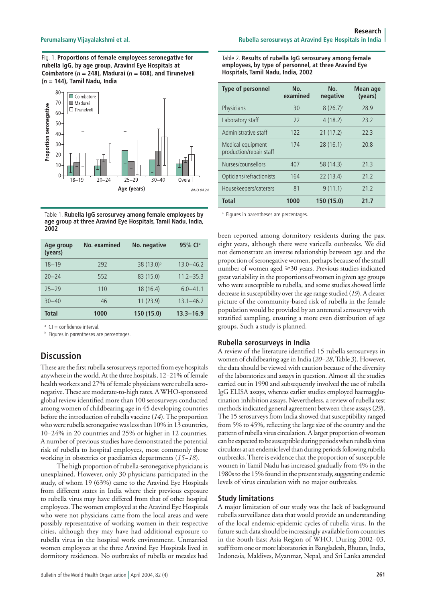Fig. 1. Proportions of female employees seronegative for rubella IgG, by age group, Aravind Eye Hospitals at Coimbatore ( $n = 248$ ), Madurai ( $n = 608$ ), and Tirunelveli  $(n = 144)$ , Tamil Nadu, India



Table 1. **Rubella IgG serosurvey among female employees by age group at three Aravind Eye Hospitals, Tamil Nadu, India, 2002**

| Age group<br>(years) | No. examined | No. negative           | 95% Cl <sup>a</sup> |
|----------------------|--------------|------------------------|---------------------|
| $18 - 19$            | 292          | 38 (13.0) <sup>b</sup> | $13.0 - 46.2$       |
| $20 - 24$            | 552          | 83 (15.0)              | $11.2 - 35.3$       |
| $25 - 29$            | 110          | 18 (16.4)              | $6.0 - 41.1$        |
| $30 - 40$            | 46           | 11(23.9)               | $13.1 - 46.2$       |
| <b>Total</b>         | 1000         | 150 (15.0)             | $13.3 - 16.9$       |

<sup>a</sup> CI = confidence interval.

**b** Figures in parentheses are percentages.

# **Discussion**

These are the first rubella serosurveys reported from eye hospitals anywhere in the world. At the three hospitals, 12−21% of female health workers and 27% of female physicians were rubella seronegative. These are moderate-to-high rates. A WHO-sponsored global review identified more than 100 serosurveys conducted among women of childbearing age in 45 developing countries before the introduction of rubella vaccine (*14*). The proportion who were rubella seronegative was less than 10% in 13 countries, 10−24% in 20 countries and 25% or higher in 12 countries. A number of previous studies have demonstrated the potential risk of rubella to hospital employees, most commonly those working in obstetrics or paediatrics departments (*15−18*).

The high proportion of rubella-seronegative physicians is unexplained. However, only 30 physicians participated in the study, of whom 19 (63%) came to the Aravind Eye Hospitals from different states in India where their previous exposure to rubella virus may have differed from that of other hospital employees. The women employed at the Aravind Eye Hospitals who were not physicians came from the local areas and were possibly representative of working women in their respective cities, although they may have had additional exposure to rubella virus in the hospital work environment. Unmarried women employees at the three Aravind Eye Hospitals lived in dormitory residences. No outbreaks of rubella or measles had Table 2. **Results of rubella IgG serosurvey among female employees, by type of personnel, at three Aravind Eye Hospitals, Tamil Nadu, India, 2002**

| Type of personnel                            | No.<br>examined | No.<br>negative      | <b>Mean age</b><br>(years) |
|----------------------------------------------|-----------------|----------------------|----------------------------|
| Physicians                                   | 30              | 8(26.7) <sup>a</sup> | 28.9                       |
| Laboratory staff                             | 22              | 4(18.2)              | 23.2                       |
| Administrative staff                         | 122             | 21(17.2)             | 22.3                       |
| Medical equipment<br>production/repair staff | 174             | 28(16.1)             | 20.8                       |
| Nurses/counsellors                           | 407             | 58 (14.3)            | 21.3                       |
| Opticians/refractionists                     | 164             | 22(13.4)             | 21.2                       |
| Housekeepers/caterers                        | 81              | 9(11.1)              | 71.7                       |
| <b>Total</b>                                 | 1000            | 150 (15.0)           | 21.7                       |

<sup>a</sup> Figures in parentheses are percentages.

been reported among dormitory residents during the past eight years, although there were varicella outbreaks. We did not demonstrate an inverse relationship between age and the proportion of seronegative women, perhaps because of the small number of women aged  $\geq 30$  years. Previous studies indicated great variability in the proportions of women in given age groups who were susceptible to rubella, and some studies showed little decrease in susceptibility over the age range studied (*19*). A clearer picture of the community-based risk of rubella in the female population would be provided by an antenatal serosurvey with stratified sampling, ensuring a more even distribution of age groups. Such a study is planned.

#### **Rubella serosurveys in India**

A review of the literature identified 15 rubella serosurveys in women of childbearing age in India (*20−28*, Table 3). However, the data should be viewed with caution because of the diversity of the laboratories and assays in question. Almost all the studies carried out in 1990 and subsequently involved the use of rubella IgG ELISA assays, whereas earlier studies employed haemagglutination inhibition assays. Nevertheless, a review of rubella test methods indicated general agreement between these assays (*29*). The 15 serosurveys from India showed that susceptibility ranged from 5% to 45%, reflecting the large size of the country and the pattern of rubella virus circulation. A larger proportion of women can be expected to be susceptible during periods when rubella virus circulates at an endemic level than during periods following rubella outbreaks. There is evidence that the proportion of susceptible women in Tamil Nadu has increased gradually from 4% in the 1980s to the 15% found in the present study, suggesting endemic levels of virus circulation with no major outbreaks.

#### **Study limitations**

A major limitation of our study was the lack of background rubella surveillance data that would provide an understanding of the local endemic-epidemic cycles of rubella virus. In the future such data should be increasingly available from countries in the South-East Asia Region of WHO. During 2002−03, staff from one or more laboratories in Bangladesh, Bhutan, India, Indonesia, Maldives, Myanmar, Nepal, and Sri Lanka attended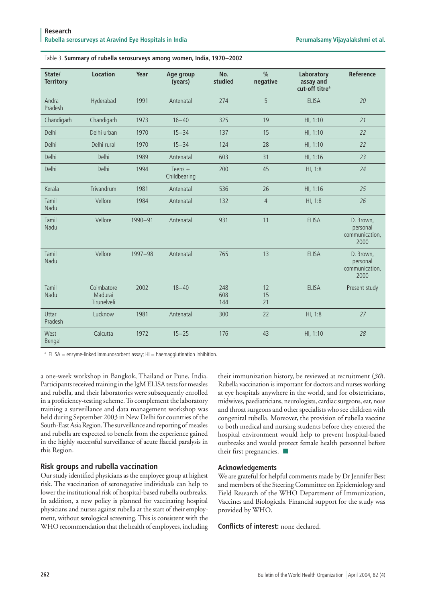| State/<br><b>Territory</b> | <b>Location</b>                      | Year    | Age group<br>(years)      | No.<br>studied    | $\frac{0}{0}$<br>negative | Laboratory<br>assay and<br>cut-off titre <sup>a</sup> | Reference                                       |
|----------------------------|--------------------------------------|---------|---------------------------|-------------------|---------------------------|-------------------------------------------------------|-------------------------------------------------|
| Andra<br>Pradesh           | Hyderabad                            | 1991    | Antenatal                 | 274               | 5                         | <b>ELISA</b>                                          | 20                                              |
| Chandigarh                 | Chandigarh                           | 1973    | $16 - 40$                 | 325               | 19                        | HI, 1:10                                              | 21                                              |
| Delhi                      | Delhi urban                          | 1970    | $15 - 34$                 | 137               | 15                        | HI, 1:10                                              | 22                                              |
| Delhi                      | Delhi rural                          | 1970    | $15 - 34$                 | 124               | 28                        | HI, 1:10                                              | 22                                              |
| Delhi                      | Delhi                                | 1989    | Antenatal                 | 603               | 31                        | HI, 1:16                                              | 23                                              |
| Delhi                      | Delhi                                | 1994    | Teens $+$<br>Childbearing | 200               | 45                        | HI, 1:8                                               | 24                                              |
| Kerala                     | Trivandrum                           | 1981    | Antenatal                 | 536               | 26                        | HI, 1:16                                              | 25                                              |
| Tamil<br>Nadu              | Vellore                              | 1984    | Antenatal                 | 132               | 4                         | HI, 1:8                                               | 26                                              |
| Tamil<br>Nadu              | Vellore                              | 1990-91 | Antenatal                 | 931               | 11                        | <b>ELISA</b>                                          | D. Brown,<br>personal<br>communication,<br>2000 |
| Tamil<br>Nadu              | Vellore                              | 1997-98 | Antenatal                 | 765               | 13                        | <b>ELISA</b>                                          | D. Brown,<br>personal<br>communication,<br>2000 |
| Tamil<br>Nadu              | Coimbatore<br>Madurai<br>Tirunelveli | 2002    | $18 - 40$                 | 248<br>608<br>144 | 12<br>15<br>21            | <b>ELISA</b>                                          | Present study                                   |
| Uttar<br>Pradesh           | Lucknow                              | 1981    | Antenatal                 | 300               | 22                        | HI, 1:8                                               | 27                                              |
| West<br>Bengal             | Calcutta                             | 1972    | $15 - 25$                 | 176               | 43                        | HI, 1:10                                              | 28                                              |

#### Table 3. **Summary of rubella serosurveys among women, India, 1970−2002**

<sup>a</sup> ELISA = enzyme-linked immunosorbent assay; HI = haemagglutination inhibition.

a one-week workshop in Bangkok, Thailand or Pune, India. Participants received training in the IgM ELISA tests for measles and rubella, and their laboratories were subsequently enrolled in a proficiency-testing scheme. To complement the laboratory training a surveillance and data management workshop was held during September 2003 in New Delhi for countries of the South-East Asia Region. The surveillance and reporting of measles and rubella are expected to benefit from the experience gained in the highly successful surveillance of acute flaccid paralysis in this Region.

### **Risk groups and rubella vaccination**

Our study identified physicians as the employee group at highest risk. The vaccination of seronegative individuals can help to lower the institutional risk of hospital-based rubella outbreaks. In addition, a new policy is planned for vaccinating hospital physicians and nurses against rubella at the start of their employment, without serological screening. This is consistent with the WHO recommendation that the health of employees, including

their immunization history, be reviewed at recruitment (*30*). Rubella vaccination is important for doctors and nurses working at eye hospitals anywhere in the world, and for obstetricians, midwives, paediatricians, neurologists, cardiac surgeons, ear, nose and throat surgeons and other specialists who see children with congenital rubella. Moreover, the provision of rubella vaccine to both medical and nursing students before they entered the hospital environment would help to prevent hospital-based outbreaks and would protect female health personnel before their first pregnancies.  $\blacksquare$ 

#### **Acknowledgements**

We are grateful for helpful comments made by Dr Jennifer Best and members of the Steering Committee on Epidemiology and Field Research of the WHO Department of Immunization, Vaccines and Biologicals. Financial support for the study was provided by WHO.

**Conflicts of interest:** none declared.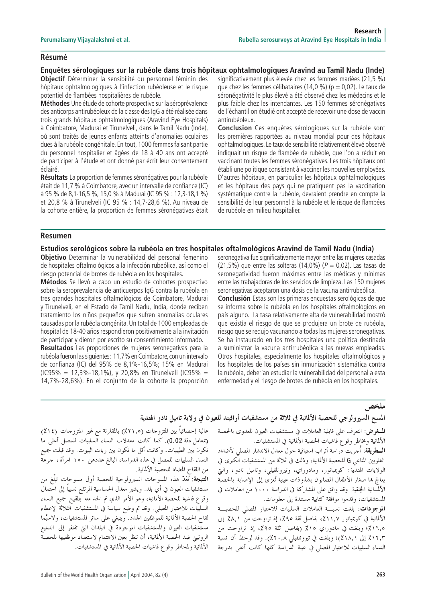#### **Résumé**

**Enquêtes sérologiques sur la rubéole dans trois hôpitaux ophtalmologiques Aravind au Tamil Nadu (Inde)**

**Objectif** Déterminer la sensibilité du personnel féminin des hôpitaux ophtalmologiques à l'infection rubéoleuse et le risque potentiel de flambées hospitalières de rubéole.

**Méthodes** Une étude de cohorte prospective sur la séroprévalence des anticorps antirubéoleux de la classe des IgG a été réalisée dans trois grands hôpitaux ophtalmologiques (Aravind Eye Hospitals) à Coimbatore, Madurai et Tirunelveli, dans le Tamil Nadu (Inde), où sont traités de jeunes enfants atteints d'anomalies oculaires dues à la rubéole congénitale. En tout, 1000 femmes faisant partie du personnel hospitalier et âgées de 18 à 40 ans ont accepté de participer à l'étude et ont donné par écrit leur consentement éclairé.

**Résultats** La proportion de femmes séronégatives pour la rubéole était de 11,7 % à Coimbatore, avec un intervalle de confiance (IC) à 95 % de 8,1-16,5 %, 15,0 % à Madurai (IC 95 % : 12,3-18,1 %) et 20,8 % à Tirunelveli (IC 95 % : 14,7-28,6 %). Au niveau de la cohorte entière, la proportion de femmes séronégatives était significativement plus élevée chez les femmes mariées (21,5 %) que chez les femmes célibataires (14,0 %) ( $p = 0.02$ ). Le taux de séronégativité le plus élevé a été observé chez les médecins et le plus faible chez les intendantes. Les 150 femmes séronégatives de l'échantillon étudié ont accepté de recevoir une dose de vaccin antirubéoleux.

**Conclusion** Ces enquêtes sérologiques sur la rubéole sont les premières rapportées au niveau mondial pour des hôpitaux ophtalmologiques. Le taux de sensibilité relativement élevé observé indiquait un risque de flambée de rubéole, que l'on a réduit en vaccinant toutes les femmes séronégatives. Les trois hôpitaux ont établi une politique consistant à vacciner les nouvelles employées. D'autres hôpitaux, en particulier les hôpitaux ophtalmologiques et les hôpitaux des pays qui ne pratiquent pas la vaccination systématique contre la rubéole, devraient prendre en compte la sensibilité de leur personnel à la rubéole et le risque de flambées de rubéole en milieu hospitalier.

#### **Resumen**

#### **Estudios serológicos sobre la rubéola en tres hospitales oftalmológicos Aravind de Tamil Nadu (India)**

**Objetivo** Determinar la vulnerabilidad del personal femenino de hospitales oftalmológicos a la infección rubeólica, así como el riesgo potencial de brotes de rubéola en los hospitales.

**Métodos** Se llevó a cabo un estudio de cohortes prospectivo sobre la seroprevalencia de anticuerpos IgG contra la rubéola en tres grandes hospitales oftalmológicos de Coimbatore, Madurai y Tirunelveli, en el Estado de Tamil Nadu, India, donde reciben tratamiento los niños pequeños que sufren anomalías oculares causadas por la rubéola congénita. Un total de 1000 empleadas de hospital de 18-40 años respondieron positivamente a la invitación de participar y dieron por escrito su consentimiento informado.

**Resultados** Las proporciones de mujeres seronegativas para la rubéola fueron las siguientes: 11,7% en Coimbatore, con un intervalo de confianza (IC) del 95% de 8,1%-16,5%; 15% en Madurai (IC95% = 12,3%-18,1%), y 20,8% en Tirunelveli (IC95% = 14,7%-28,6%). En el conjunto de la cohorte la proporción seronegativa fue significativamente mayor entre las mujeres casadas (21,5%) que entre las solteras (14,0%) ( $P = 0.02$ ). Las tasas de seronegatividad fueron máximas entre las médicas y mínimas entre las trabajadoras de los servicios de limpieza. Las 150 mujeres seronegativas aceptaron una dosis de la vacuna antirrubeólica.

**Conclusión** Estas son las primeras encuestas serológicas de que se informa sobre la rubéola en los hospitales oftalmológicos en país alguno. La tasa relativamente alta de vulnerabilidad mostró que existía el riesgo de que se produjera un brote de rubéola, riesgo que se redujo vacunando a todas las mujeres seronegativas. Se ha instaurado en los tres hospitales una política destinada a suministrar la vacuna antirrubéolica a las nuevas empleadas. Otros hospitales, especialmente los hospitales oftalmológicos y los hospitales de los países sin inmunización sistemática contra la rubéola, deberían estudiar la vulnerabilidad del personal a esta enfermedad y el riesgo de brotes de rubéola en los hospitales.

ملخص

## المسح السيرولوجي للحصبة الألمانية في ثلاثة من مستشفيات أرافيند للعيون في ولاية تاميل نادو الهندية

المُسغرض: التعرف على قابلية العاملات في مستشفيات العيون للعدوى بالحصبة الألمانية ومخاطرٌ وقوع فاشيات الحصبة الأَلمانية في المستشفيات.

**السطريقة:** أُجريت دّراسة أتراب استباقية حول معدل الانتشار المصل<sub>ى</sub> لأضداد الغلوبين المناعي G للحصبة الألمانية، وذلك في ثلاثة من المستشفيات الكبرى في الولايات الهندية : كويمباتور، ومادوراي، وتيرونلفيلي، وتاميل نادو ، والتي يعالج بما صغار الأطفال المصابون بشذوذات عينية تُعزى إلى الإصابة بالحصبة الألمُسانية الخِلقية. وقد وافق على المشاركة في الدراسة ١٠٠٠ من العاملات في المستشفيات، وقدموا موافقة كتابية مستندة إلى معلومات.

الموجودات: بلغت نسبة العاملات السلبيات للاحتبار المصلى للحصبة الألمانية في كويمباتور ١١,٧٪، بفاصل ثقة ٩٥٪، إذ تراوحت منَّ ٨,١٪ إلى ١٦٫٥٪؛ وبلغت في مادوراي ١٥٪ (بفاصل ثقة ٩٥٪، إذ تراوحت من ١٢,٣٪ إلى ٨,١١٪)؛ وبلغت في تيرونلفيلي ٢٠,٨٪). وقد لوحظ أن نسبةً النساء السلبيات للاختبار المصلى في عينة الدّراسة كلها كانت أعلى بدرجة

عالية إحصائياً بين المتزوجات (٢١,٥٪) بالمقارنة مع غير المتزوجات (١٤٪) (بمعامل دقة 0.02). كما كانت معدلات النساء السلبيات للمصل أعلى ما تكون بين الطبيبات، وكانت أقل ما تكون بين ربات البيوت. وقد قبلت جميع النساء السلبيات للمصل في هذه الدراسة، البالغ عددهن ١٥٠ امرأة، جرعة من اللقاح المضاد للحصبة الألمانية.

النتيجة: تُعَدّ هذه المسوحات السيرولوجية للحصبة أول مسوحات تبلّغ من مستشفيات العيون في أي بلد. ويشير معدل الحساسية المرتفع نسبياً إلى احتمال وقوع فاشية للحصبة الألمانية، وهو الأمر الذي تم الحد منه بتلقيح جميع النساء السلبيَّات للاختبار المصلَّى. وقد تم وضع سياسة في المستشفيات الثلاثة ً لإعطاء لقاح الحصبة الألمانية للموْظفين الجدد. وينبغي على سائر المستشفيات، ولاسيَّما مستَّشفيات العيون والمستشفيات الموجودة في البلدان التي تفتقر إلى التمنيع الروتيني ضد الحصبة الألمانية، أن تنظر بعين الاهتمام لاستعداد موظفيها للحصبة الألمانية ولمحاطر وقوع فاشيات الحصبة الألمانية في المستشفيات.